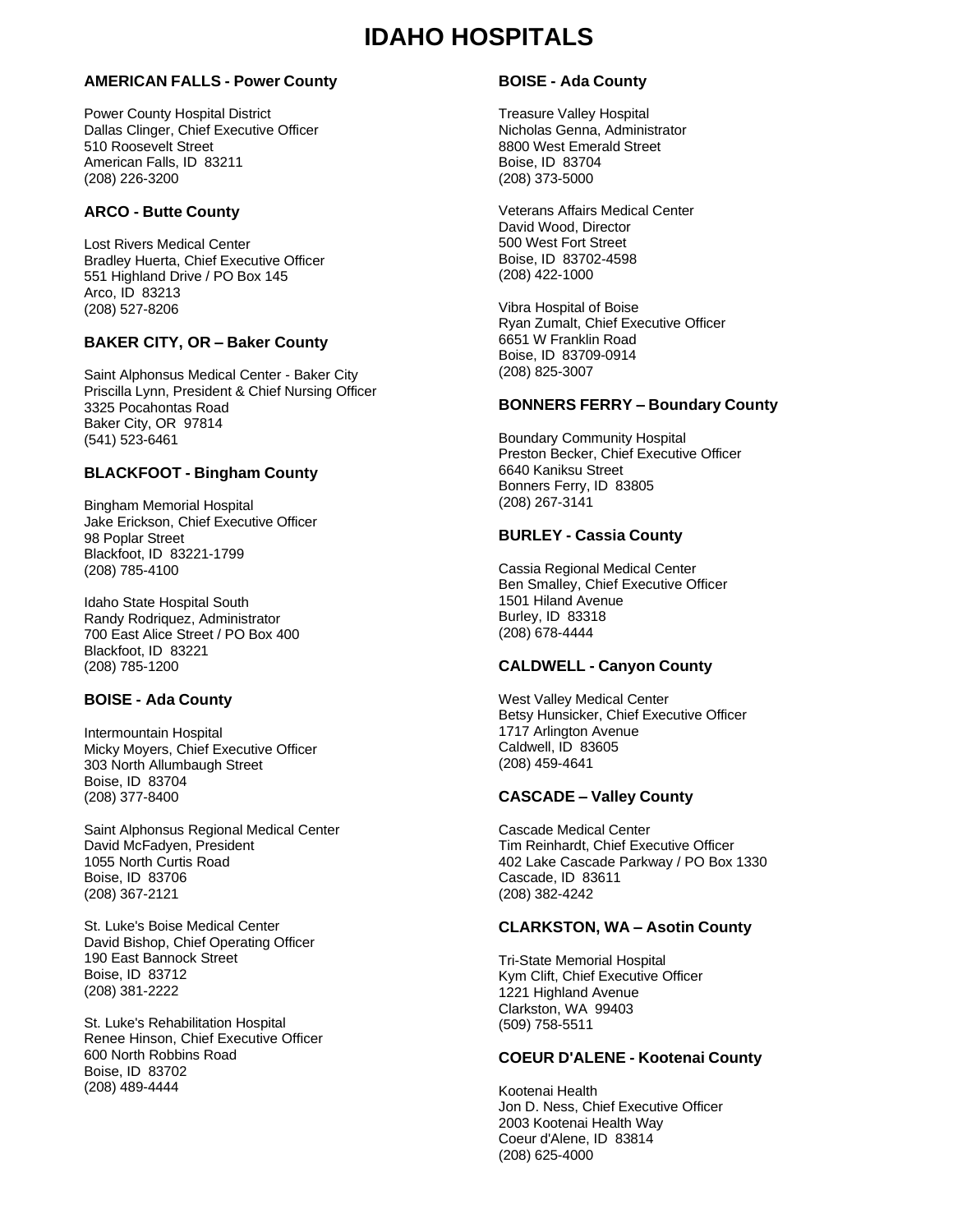## **AMERICAN FALLS - Power County**

Power County Hospital District Dallas Clinger, Chief Executive Officer 510 Roosevelt Street American Falls, ID 83211 (208) 226-3200

## **ARCO - Butte County**

Lost Rivers Medical Center Bradley Huerta, Chief Executive Officer 551 Highland Drive / PO Box 145 Arco, ID 83213 (208) 527-8206

# **BAKER CITY, OR – Baker County**

Saint Alphonsus Medical Center - Baker City Priscilla Lynn, President & Chief Nursing Officer 3325 Pocahontas Road Baker City, OR 97814 (541) 523-6461

## **BLACKFOOT - Bingham County**

Bingham Memorial Hospital Jake Erickson, Chief Executive Officer 98 Poplar Street Blackfoot, ID 83221-1799 (208) 785-4100

Idaho State Hospital South Randy Rodriquez, Administrator 700 East Alice Street / PO Box 400 Blackfoot, ID 83221 (208) 785-1200

## **BOISE - Ada County**

Intermountain Hospital Micky Moyers, Chief Executive Officer 303 North Allumbaugh Street Boise, ID 83704 (208) 377-8400

Saint Alphonsus Regional Medical Center David McFadyen, President 1055 North Curtis Road Boise, ID 83706 (208) 367-2121

St. Luke's Boise Medical Center David Bishop, Chief Operating Officer 190 East Bannock Street Boise, ID 83712 (208) 381-2222

St. Luke's Rehabilitation Hospital Renee Hinson, Chief Executive Officer 600 North Robbins Road Boise, ID 83702 (208) 489-4444

# **BOISE - Ada County**

Treasure Valley Hospital Nicholas Genna, Administrator 8800 West Emerald Street Boise, ID 83704 (208) 373-5000

Veterans Affairs Medical Center David Wood, Director 500 West Fort Street Boise, ID 83702-4598 (208) 422-1000

Vibra Hospital of Boise Ryan Zumalt, Chief Executive Officer 6651 W Franklin Road Boise, ID 83709-0914 (208) 825-3007

## **BONNERS FERRY – Boundary County**

Boundary Community Hospital Preston Becker, Chief Executive Officer 6640 Kaniksu Street Bonners Ferry, ID 83805 (208) 267-3141

## **BURLEY - Cassia County**

Cassia Regional Medical Center Ben Smalley, Chief Executive Officer 1501 Hiland Avenue Burley, ID 83318 (208) 678-4444

# **CALDWELL - Canyon County**

West Valley Medical Center Betsy Hunsicker, Chief Executive Officer 1717 Arlington Avenue Caldwell, ID 83605 (208) 459-4641

## **CASCADE – Valley County**

Cascade Medical Center Tim Reinhardt, Chief Executive Officer 402 Lake Cascade Parkway / PO Box 1330 Cascade, ID 83611 (208) 382-4242

## **CLARKSTON, WA – Asotin County**

Tri-State Memorial Hospital Kym Clift, Chief Executive Officer 1221 Highland Avenue Clarkston, WA 99403 (509) 758-5511

## **COEUR D'ALENE - Kootenai County**

Kootenai Health Jon D. Ness, Chief Executive Officer 2003 Kootenai Health Way Coeur d'Alene, ID 83814 (208) 625-4000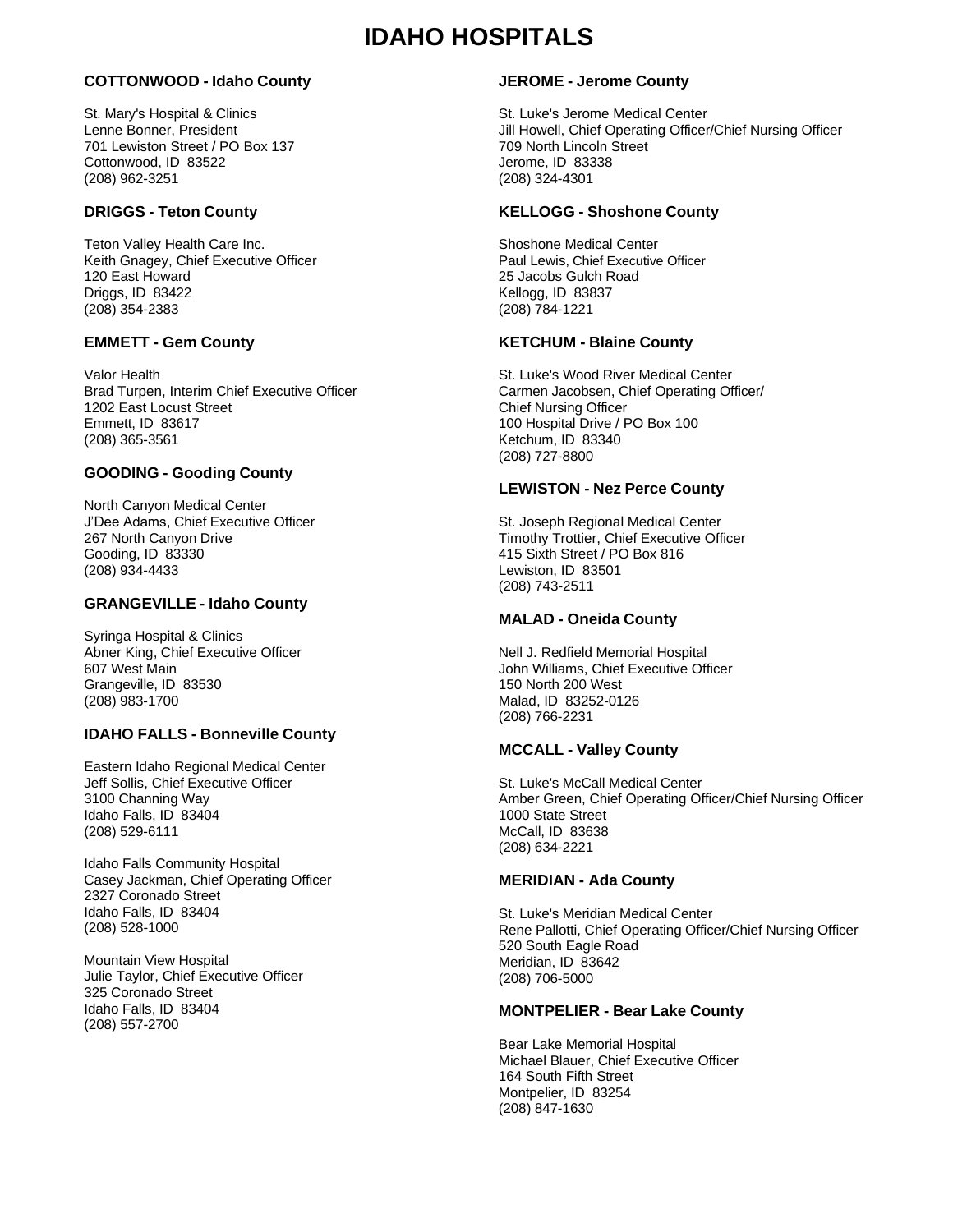## **COTTONWOOD - Idaho County**

St. Mary's Hospital & Clinics Lenne Bonner, President 701 Lewiston Street / PO Box 137 Cottonwood, ID 83522 (208) 962-3251

## **DRIGGS - Teton County**

Teton Valley Health Care Inc. Keith Gnagey, Chief Executive Officer 120 East Howard Driggs, ID 83422 (208) 354-2383

## **EMMETT - Gem County**

Valor Health Brad Turpen, Interim Chief Executive Officer 1202 East Locust Street Emmett, ID 83617 (208) 365-3561

## **GOODING - Gooding County**

North Canyon Medical Center J'Dee Adams, Chief Executive Officer 267 North Canyon Drive Gooding, ID 83330 (208) 934-4433

### **GRANGEVILLE - Idaho County**

Syringa Hospital & Clinics Abner King, Chief Executive Officer 607 West Main Grangeville, ID 83530 (208) 983-1700

## **IDAHO FALLS - Bonneville County**

Eastern Idaho Regional Medical Center Jeff Sollis, Chief Executive Officer 3100 Channing Way Idaho Falls, ID 83404 (208) 529-6111

Idaho Falls Community Hospital Casey Jackman, Chief Operating Officer 2327 Coronado Street Idaho Falls, ID 83404 (208) 528-1000

Mountain View Hospital Julie Taylor, Chief Executive Officer 325 Coronado Street Idaho Falls, ID 83404 (208) 557-2700

## **JEROME - Jerome County**

St. Luke's Jerome Medical Center Jill Howell, Chief Operating Officer/Chief Nursing Officer 709 North Lincoln Street Jerome, ID 83338 (208) 324-4301

#### **KELLOGG - Shoshone County**

Shoshone Medical Center Paul Lewis, Chief Executive Officer 25 Jacobs Gulch Road Kellogg, ID 83837 (208) 784-1221

## **KETCHUM - Blaine County**

St. Luke's Wood River Medical Center Carmen Jacobsen, Chief Operating Officer/ Chief Nursing Officer 100 Hospital Drive / PO Box 100 Ketchum, ID 83340 (208) 727-8800

#### **LEWISTON - Nez Perce County**

St. Joseph Regional Medical Center Timothy Trottier, Chief Executive Officer 415 Sixth Street / PO Box 816 Lewiston, ID 83501 (208) 743-2511

#### **MALAD - Oneida County**

Nell J. Redfield Memorial Hospital John Williams, Chief Executive Officer 150 North 200 West Malad, ID 83252-0126 (208) 766-2231

#### **MCCALL - Valley County**

St. Luke's McCall Medical Center Amber Green, Chief Operating Officer/Chief Nursing Officer 1000 State Street McCall, ID 83638 (208) 634-2221

## **MERIDIAN - Ada County**

St. Luke's Meridian Medical Center Rene Pallotti, Chief Operating Officer/Chief Nursing Officer 520 South Eagle Road Meridian, ID 83642 (208) 706-5000

## **MONTPELIER - Bear Lake County**

Bear Lake Memorial Hospital Michael Blauer, Chief Executive Officer 164 South Fifth Street Montpelier, ID 83254 (208) 847-1630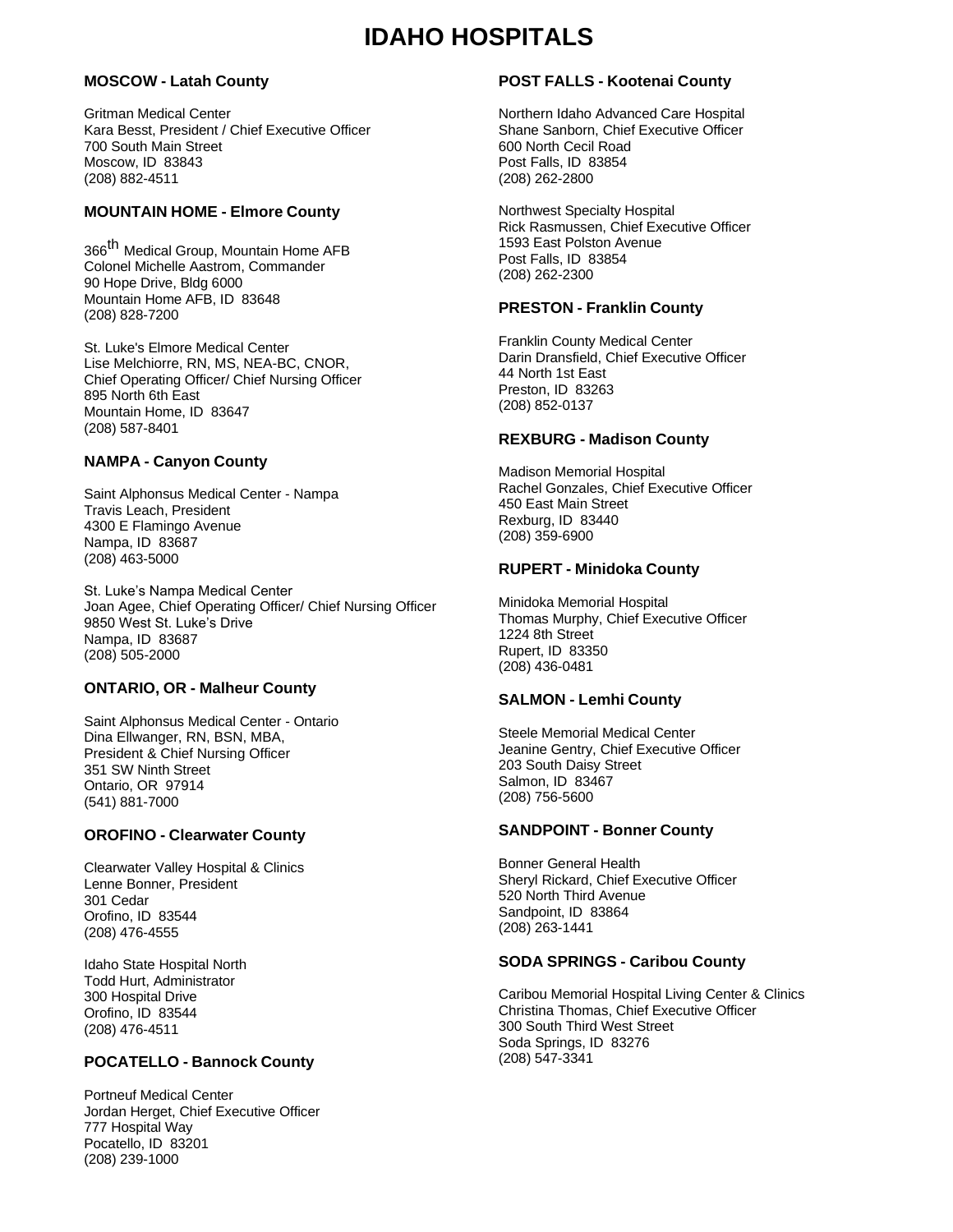# **MOSCOW - Latah County**

Gritman Medical Center Kara Besst, President / Chief Executive Officer 700 South Main Street Moscow, ID 83843 (208) 882-4511

# **MOUNTAIN HOME - Elmore County**

366<sup>th</sup> Medical Group, Mountain Home AFB Colonel Michelle Aastrom, Commander 90 Hope Drive, Bldg 6000 Mountain Home AFB, ID 83648 (208) 828-7200

St. Luke's Elmore Medical Center Lise Melchiorre, RN, MS, NEA-BC, CNOR, Chief Operating Officer/ Chief Nursing Officer 895 North 6th East Mountain Home, ID 83647 (208) 587-8401

# **NAMPA - Canyon County**

Saint Alphonsus Medical Center - Nampa Travis Leach, President 4300 E Flamingo Avenue Nampa, ID 83687 (208) 463-5000

St. Luke's Nampa Medical Center Joan Agee, Chief Operating Officer/ Chief Nursing Officer 9850 West St. Luke's Drive Nampa, ID 83687 (208) 505-2000

## **ONTARIO, OR - Malheur County**

Saint Alphonsus Medical Center - Ontario Dina Ellwanger, RN, BSN, MBA, President & Chief Nursing Officer 351 SW Ninth Street Ontario, OR 97914 (541) 881-7000

# **OROFINO - Clearwater County**

Clearwater Valley Hospital & Clinics Lenne Bonner, President 301 Cedar Orofino, ID 83544 (208) 476-4555

Idaho State Hospital North Todd Hurt, Administrator 300 Hospital Drive Orofino, ID 83544 (208) 476-4511

# **POCATELLO - Bannock County**

Portneuf Medical Center Jordan Herget, Chief Executive Officer 777 Hospital Way Pocatello, ID 83201 (208) 239-1000

# **POST FALLS - Kootenai County**

Northern Idaho Advanced Care Hospital Shane Sanborn, Chief Executive Officer 600 North Cecil Road Post Falls, ID 83854 (208) 262-2800

Northwest Specialty Hospital Rick Rasmussen, Chief Executive Officer 1593 East Polston Avenue Post Falls, ID 83854 (208) 262-2300

## **PRESTON - Franklin County**

Franklin County Medical Center Darin Dransfield, Chief Executive Officer 44 North 1st East Preston, ID 83263 (208) 852-0137

## **REXBURG - Madison County**

Madison Memorial Hospital Rachel Gonzales, Chief Executive Officer 450 East Main Street Rexburg, ID 83440 (208) 359-6900

## **RUPERT - Minidoka County**

Minidoka Memorial Hospital Thomas Murphy, Chief Executive Officer 1224 8th Street Rupert, ID 83350 (208) 436-0481

## **SALMON - Lemhi County**

Steele Memorial Medical Center Jeanine Gentry, Chief Executive Officer 203 South Daisy Street Salmon, ID 83467 (208) 756-5600

## **SANDPOINT - Bonner County**

Bonner General Health Sheryl Rickard, Chief Executive Officer 520 North Third Avenue Sandpoint, ID 83864 (208) 263-1441

## **SODA SPRINGS - Caribou County**

Caribou Memorial Hospital Living Center & Clinics Christina Thomas, Chief Executive Officer 300 South Third West Street Soda Springs, ID 83276 (208) 547-3341